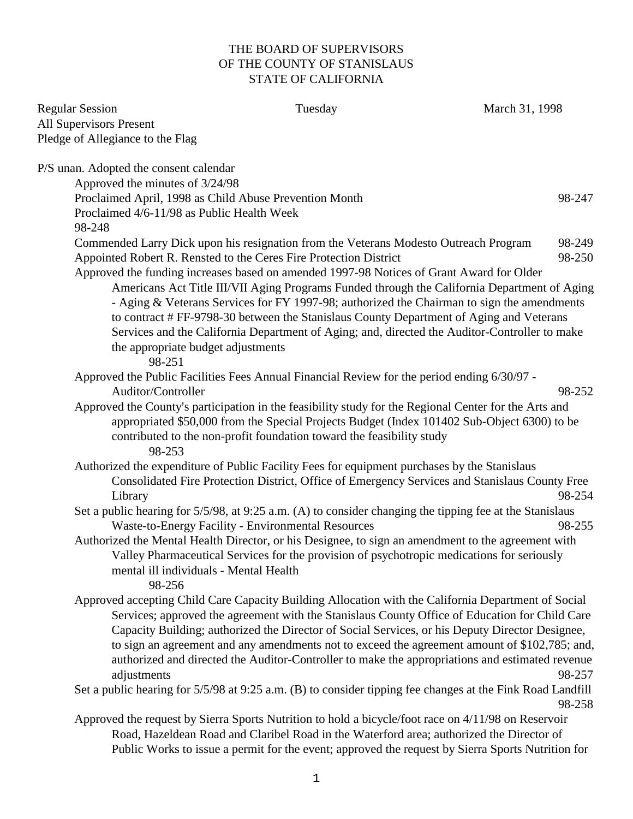## THE BOARD OF SUPERVISORS OF THE COUNTY OF STANISLAUS STATE OF CALIFORNIA

| <b>Regular Session</b>                                 | Tuesday                                                                                                                                                        | March 31, 1998 |
|--------------------------------------------------------|----------------------------------------------------------------------------------------------------------------------------------------------------------------|----------------|
| <b>All Supervisors Present</b>                         |                                                                                                                                                                |                |
| Pledge of Allegiance to the Flag                       |                                                                                                                                                                |                |
| P/S unan. Adopted the consent calendar                 |                                                                                                                                                                |                |
| Approved the minutes of 3/24/98                        |                                                                                                                                                                |                |
| Proclaimed April, 1998 as Child Abuse Prevention Month |                                                                                                                                                                | 98-247         |
| Proclaimed 4/6-11/98 as Public Health Week<br>98-248   |                                                                                                                                                                |                |
|                                                        | Commended Larry Dick upon his resignation from the Veterans Modesto Outreach Program                                                                           | 98-249         |
|                                                        | Appointed Robert R. Rensted to the Ceres Fire Protection District                                                                                              | 98-250         |
|                                                        | Approved the funding increases based on amended 1997-98 Notices of Grant Award for Older                                                                       |                |
|                                                        | Americans Act Title III/VII Aging Programs Funded through the California Department of Aging                                                                   |                |
|                                                        | - Aging & Veterans Services for FY 1997-98; authorized the Chairman to sign the amendments                                                                     |                |
|                                                        | to contract # FF-9798-30 between the Stanislaus County Department of Aging and Veterans                                                                        |                |
|                                                        | Services and the California Department of Aging; and, directed the Auditor-Controller to make                                                                  |                |
| the appropriate budget adjustments<br>98-251           |                                                                                                                                                                |                |
|                                                        | Approved the Public Facilities Fees Annual Financial Review for the period ending 6/30/97 -                                                                    |                |
| Auditor/Controller                                     |                                                                                                                                                                | 98-252         |
|                                                        | Approved the County's participation in the feasibility study for the Regional Center for the Arts and                                                          |                |
|                                                        | appropriated \$50,000 from the Special Projects Budget (Index 101402 Sub-Object 6300) to be                                                                    |                |
|                                                        | contributed to the non-profit foundation toward the feasibility study                                                                                          |                |
| 98-253                                                 |                                                                                                                                                                |                |
|                                                        | Authorized the expenditure of Public Facility Fees for equipment purchases by the Stanislaus                                                                   |                |
|                                                        | Consolidated Fire Protection District, Office of Emergency Services and Stanislaus County Free                                                                 |                |
| Library                                                |                                                                                                                                                                | 98-254         |
|                                                        | Set a public hearing for 5/5/98, at 9:25 a.m. (A) to consider changing the tipping fee at the Stanislaus<br>Waste-to-Energy Facility - Environmental Resources | 98-255         |
|                                                        | Authorized the Mental Health Director, or his Designee, to sign an amendment to the agreement with                                                             |                |
|                                                        | Valley Pharmaceutical Services for the provision of psychotropic medications for seriously                                                                     |                |
| mental ill individuals - Mental Health                 |                                                                                                                                                                |                |
| 98-256                                                 |                                                                                                                                                                |                |
|                                                        | Approved accepting Child Care Capacity Building Allocation with the California Department of Social                                                            |                |
|                                                        | Services; approved the agreement with the Stanislaus County Office of Education for Child Care                                                                 |                |
|                                                        | Capacity Building; authorized the Director of Social Services, or his Deputy Director Designee,                                                                |                |
|                                                        | to sign an agreement and any amendments not to exceed the agreement amount of \$102,785; and,                                                                  |                |
|                                                        | authorized and directed the Auditor-Controller to make the appropriations and estimated revenue                                                                | 98-257         |
| adjustments                                            | Set a public hearing for 5/5/98 at 9:25 a.m. (B) to consider tipping fee changes at the Fink Road Landfill                                                     |                |
|                                                        |                                                                                                                                                                | 98-258         |
|                                                        | Approved the request by Sierra Sports Nutrition to hold a bicycle/foot race on 4/11/98 on Reservoir                                                            |                |
|                                                        | Road, Hazeldean Road and Claribel Road in the Waterford area; authorized the Director of                                                                       |                |
|                                                        | Public Works to issue a permit for the event; approved the request by Sierra Sports Nutrition for                                                              |                |
|                                                        |                                                                                                                                                                |                |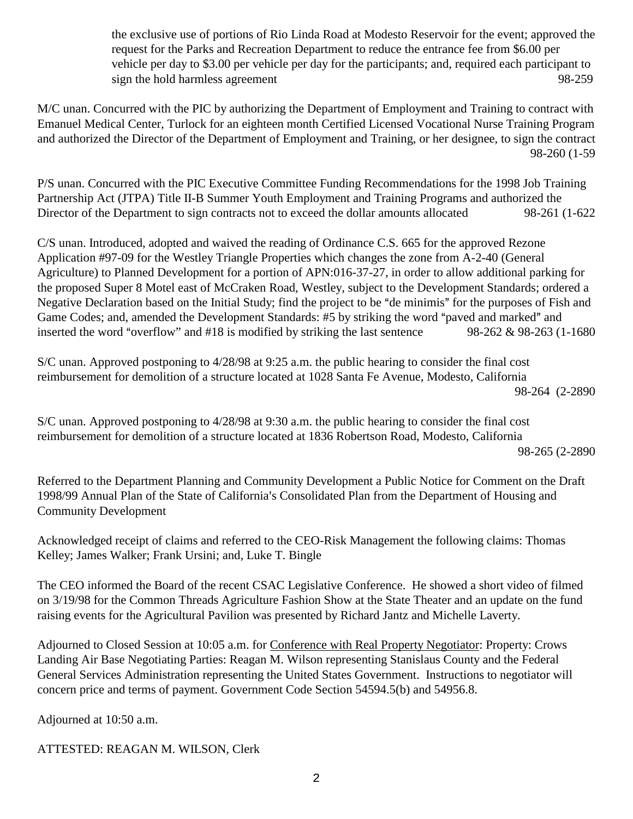the exclusive use of portions of Rio Linda Road at Modesto Reservoir for the event; approved the request for the Parks and Recreation Department to reduce the entrance fee from \$6.00 per vehicle per day to \$3.00 per vehicle per day for the participants; and, required each participant to sign the hold harmless agreement 98-259

M/C unan. Concurred with the PIC by authorizing the Department of Employment and Training to contract with Emanuel Medical Center, Turlock for an eighteen month Certified Licensed Vocational Nurse Training Program and authorized the Director of the Department of Employment and Training, or her designee, to sign the contract 98-260 (1-59

P/S unan. Concurred with the PIC Executive Committee Funding Recommendations for the 1998 Job Training Partnership Act (JTPA) Title II-B Summer Youth Employment and Training Programs and authorized the Director of the Department to sign contracts not to exceed the dollar amounts allocated 98-261 (1-622

C/S unan. Introduced, adopted and waived the reading of Ordinance C.S. 665 for the approved Rezone Application #97-09 for the Westley Triangle Properties which changes the zone from A-2-40 (General Agriculture) to Planned Development for a portion of APN:016-37-27, in order to allow additional parking for the proposed Super 8 Motel east of McCraken Road, Westley, subject to the Development Standards; ordered a Negative Declaration based on the Initial Study; find the project to be "de minimis" for the purposes of Fish and Game Codes; and, amended the Development Standards: #5 by striking the word "paved and marked" and inserted the word "overflow" and #18 is modified by striking the last sentence 98-262  $& 98-263$  (1-1680)

S/C unan. Approved postponing to 4/28/98 at 9:25 a.m. the public hearing to consider the final cost reimbursement for demolition of a structure located at 1028 Santa Fe Avenue, Modesto, California 98-264 (2-2890

S/C unan. Approved postponing to  $4/28/98$  at 9:30 a.m. the public hearing to consider the final cost reimbursement for demolition of a structure located at 1836 Robertson Road, Modesto, California 98-265 (2-2890

Referred to the Department Planning and Community Development a Public Notice for Comment on the Draft 1998/99 Annual Plan of the State of California's Consolidated Plan from the Department of Housing and Community Development

Acknowledged receipt of claims and referred to the CEO-Risk Management the following claims: Thomas Kelley; James Walker; Frank Ursini; and, Luke T. Bingle

The CEO informed the Board of the recent CSAC Legislative Conference. He showed a short video of filmed on 3/19/98 for the Common Threads Agriculture Fashion Show at the State Theater and an update on the fund raising events for the Agricultural Pavilion was presented by Richard Jantz and Michelle Laverty.

Adjourned to Closed Session at 10:05 a.m. for Conference with Real Property Negotiator: Property: Crows Landing Air Base Negotiating Parties: Reagan M. Wilson representing Stanislaus County and the Federal General Services Administration representing the United States Government. Instructions to negotiator will concern price and terms of payment. Government Code Section 54594.5(b) and 54956.8.

Adjourned at 10:50 a.m.

ATTESTED: REAGAN M. WILSON, Clerk